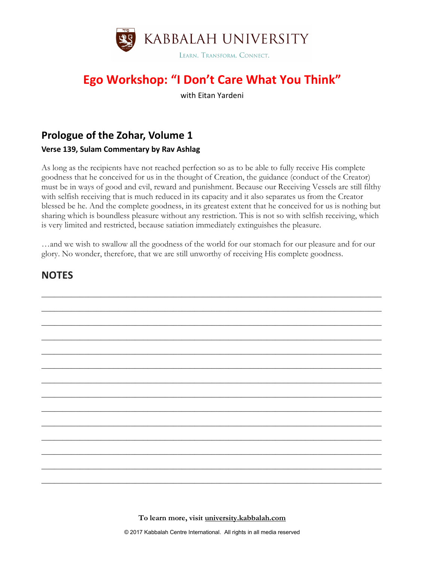

# **Ego Workshop: "I Don't Care What You Think"**

with Eitan Yardeni

### **Prologue of the Zohar, Volume 1**

#### **Verse 139, Sulam Commentary by Rav Ashlag**

As long as the recipients have not reached perfection so as to be able to fully receive His complete goodness that he conceived for us in the thought of Creation, the guidance (conduct of the Creator) must be in ways of good and evil, reward and punishment. Because our Receiving Vessels are still filthy with selfish receiving that is much reduced in its capacity and it also separates us from the Creator blessed be he. And the complete goodness, in its greatest extent that he conceived for us is nothing but sharing which is boundless pleasure without any restriction. This is not so with selfish receiving, which is very limited and restricted, because satiation immediately extinguishes the pleasure.

…and we wish to swallow all the goodness of the world for our stomach for our pleasure and for our glory. No wonder, therefore, that we are still unworthy of receiving His complete goodness.



#### **NOTES**

**To learn more, visit university.kabbalah.com**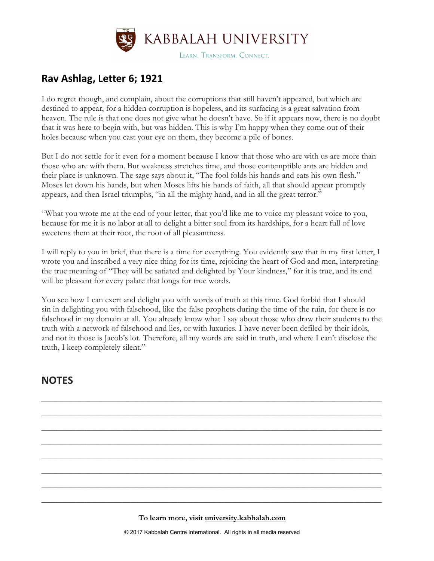

#### **Rav Ashlag, Letter 6; 1921**

I do regret though, and complain, about the corruptions that still haven't appeared, but which are destined to appear, for a hidden corruption is hopeless, and its surfacing is a great salvation from heaven. The rule is that one does not give what he doesn't have. So if it appears now, there is no doubt that it was here to begin with, but was hidden. This is why I'm happy when they come out of their holes because when you cast your eye on them, they become a pile of bones.

But I do not settle for it even for a moment because I know that those who are with us are more than those who are with them. But weakness stretches time, and those contemptible ants are hidden and their place is unknown. The sage says about it, "The fool folds his hands and eats his own flesh." Moses let down his hands, but when Moses lifts his hands of faith, all that should appear promptly appears, and then Israel triumphs, "in all the mighty hand, and in all the great terror."

"What you wrote me at the end of your letter, that you'd like me to voice my pleasant voice to you, because for me it is no labor at all to delight a bitter soul from its hardships, for a heart full of love sweetens them at their root, the root of all pleasantness.

I will reply to you in brief, that there is a time for everything. You evidently saw that in my first letter, I wrote you and inscribed a very nice thing for its time, rejoicing the heart of God and men, interpreting the true meaning of "They will be satiated and delighted by Your kindness," for it is true, and its end will be pleasant for every palate that longs for true words.

You see how I can exert and delight you with words of truth at this time. God forbid that I should sin in delighting you with falsehood, like the false prophets during the time of the ruin, for there is no falsehood in my domain at all. You already know what I say about those who draw their students to the truth with a network of falsehood and lies, or with luxuries. I have never been defiled by their idols, and not in those is Jacob's lot. Therefore, all my words are said in truth, and where I can't disclose the truth, I keep completely silent."

\_\_\_\_\_\_\_\_\_\_\_\_\_\_\_\_\_\_\_\_\_\_\_\_\_\_\_\_\_\_\_\_\_\_\_\_\_\_\_\_\_\_\_\_\_\_\_\_\_\_\_\_\_\_\_\_\_\_\_\_\_\_\_\_\_\_\_\_\_\_\_\_\_\_\_\_\_\_\_\_

\_\_\_\_\_\_\_\_\_\_\_\_\_\_\_\_\_\_\_\_\_\_\_\_\_\_\_\_\_\_\_\_\_\_\_\_\_\_\_\_\_\_\_\_\_\_\_\_\_\_\_\_\_\_\_\_\_\_\_\_\_\_\_\_\_\_\_\_\_\_\_\_\_\_\_\_\_\_\_\_

\_\_\_\_\_\_\_\_\_\_\_\_\_\_\_\_\_\_\_\_\_\_\_\_\_\_\_\_\_\_\_\_\_\_\_\_\_\_\_\_\_\_\_\_\_\_\_\_\_\_\_\_\_\_\_\_\_\_\_\_\_\_\_\_\_\_\_\_\_\_\_\_\_\_\_\_\_\_\_\_

\_\_\_\_\_\_\_\_\_\_\_\_\_\_\_\_\_\_\_\_\_\_\_\_\_\_\_\_\_\_\_\_\_\_\_\_\_\_\_\_\_\_\_\_\_\_\_\_\_\_\_\_\_\_\_\_\_\_\_\_\_\_\_\_\_\_\_\_\_\_\_\_\_\_\_\_\_\_\_\_

\_\_\_\_\_\_\_\_\_\_\_\_\_\_\_\_\_\_\_\_\_\_\_\_\_\_\_\_\_\_\_\_\_\_\_\_\_\_\_\_\_\_\_\_\_\_\_\_\_\_\_\_\_\_\_\_\_\_\_\_\_\_\_\_\_\_\_\_\_\_\_\_\_\_\_\_\_\_\_\_

\_\_\_\_\_\_\_\_\_\_\_\_\_\_\_\_\_\_\_\_\_\_\_\_\_\_\_\_\_\_\_\_\_\_\_\_\_\_\_\_\_\_\_\_\_\_\_\_\_\_\_\_\_\_\_\_\_\_\_\_\_\_\_\_\_\_\_\_\_\_\_\_\_\_\_\_\_\_\_\_

\_\_\_\_\_\_\_\_\_\_\_\_\_\_\_\_\_\_\_\_\_\_\_\_\_\_\_\_\_\_\_\_\_\_\_\_\_\_\_\_\_\_\_\_\_\_\_\_\_\_\_\_\_\_\_\_\_\_\_\_\_\_\_\_\_\_\_\_\_\_\_\_\_\_\_\_\_\_\_\_

\_\_\_\_\_\_\_\_\_\_\_\_\_\_\_\_\_\_\_\_\_\_\_\_\_\_\_\_\_\_\_\_\_\_\_\_\_\_\_\_\_\_\_\_\_\_\_\_\_\_\_\_\_\_\_\_\_\_\_\_\_\_\_\_\_\_\_\_\_\_\_\_\_\_\_\_\_\_\_\_

#### **NOTES**

**To learn more, visit university.kabbalah.com**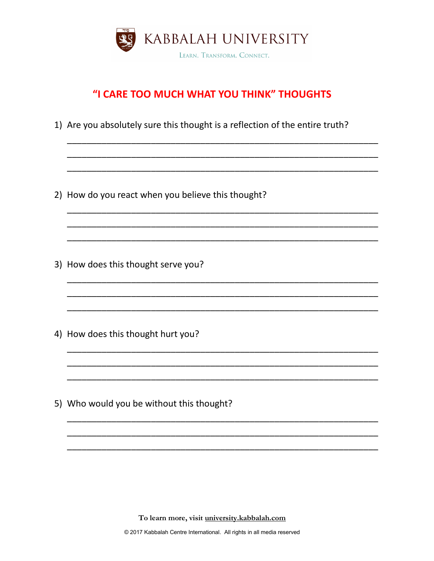

## "I CARE TOO MUCH WHAT YOU THINK" THOUGHTS

1) Are you absolutely sure this thought is a reflection of the entire truth?

2) How do you react when you believe this thought?

3) How does this thought serve you?

4) How does this thought hurt you?

5) Who would you be without this thought?